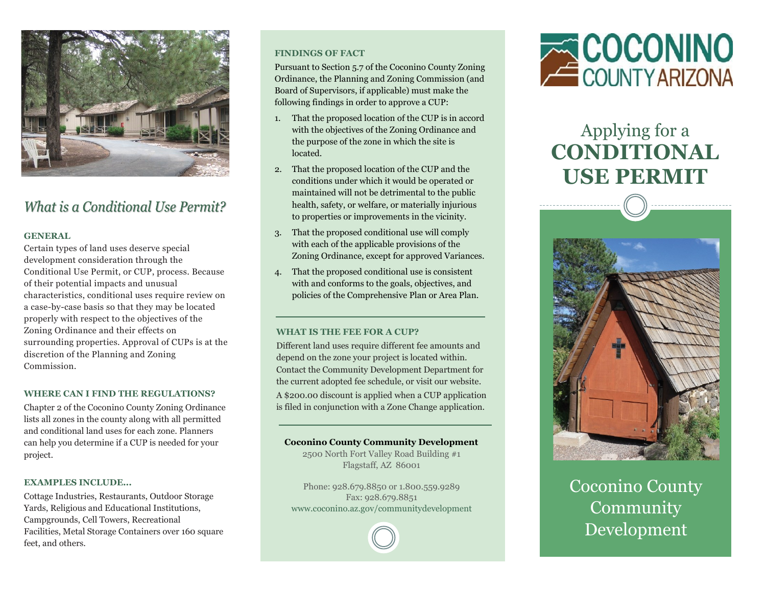

### What is a Conditional Use Permit?

#### **GENERAL**

Certain types of land uses deserve special development consideration through the Conditional Use Permit, or CUP, process. Because of their potential impacts and unusual characteristics, conditional uses require review on a case-by-case basis so that they may be located properly with respect to the objectives of the Zoning Ordinance and their effects on surrounding properties. Approval of CUPs is at the discretion of the Planning and Zoning Commission.

#### **WHERE CAN I FIND THE REGULATIONS?**

Chapter 2 of the Coconino County Zoning Ordinance lists all zones in the county along with all permitted and conditional land uses for each zone. Planners can help you determine if a CUP is needed for your project.

#### **EXAMPLES INCLUDE...**

Cottage Industries, Restaurants, Outdoor Storage Yards, Religious and Educational Institutions, Campgrounds, Cell Towers, Recreational Facilities, Metal Storage Containers over 160 square feet, and others.

#### **FINDINGS OF FACT**

Pursuant to Section 5.7 of the Coconino County Zoning Ordinance, the Planning and Zoning Commission (and Board of Supervisors, if applicable) must make the following findings in order to approve a CUP:

- 1. That the proposed location of the CUP is in accord with the objectives of the Zoning Ordinance and the purpose of the zone in which the site is located.
- 2. That the proposed location of the CUP and the conditions under which it would be operated or maintained will not be detrimental to the public health, safety, or welfare, or materially injurious to properties or improvements in the vicinity.
- 3. That the proposed conditional use will comply with each of the applicable provisions of the Zoning Ordinance, except for approved Variances.
- 4. That the proposed conditional use is consistent with and conforms to the goals, objectives, and policies of the Comprehensive Plan or Area Plan.

#### **WHAT IS THE FEE FOR A CUP?**

Different land uses require different fee amounts and depend on the zone your project is located within. Contact the Community Development Department for the current adopted fee schedule, or visit our website. A \$200.00 discount is applied when a CUP application is filed in conjunction with a Zone Change application.

#### **Coconino County Community Development**

2500 North Fort Valley Road Building #1 Flagstaff, AZ 86001

Phone: 928.679.8850 or 1.800.559.9289 Fax: 928.679.8851 www.coconino.az.gov/communitydevelopment



## Applying for a **CONDITIONAL USE PERMIT**



Coconino County Community Development